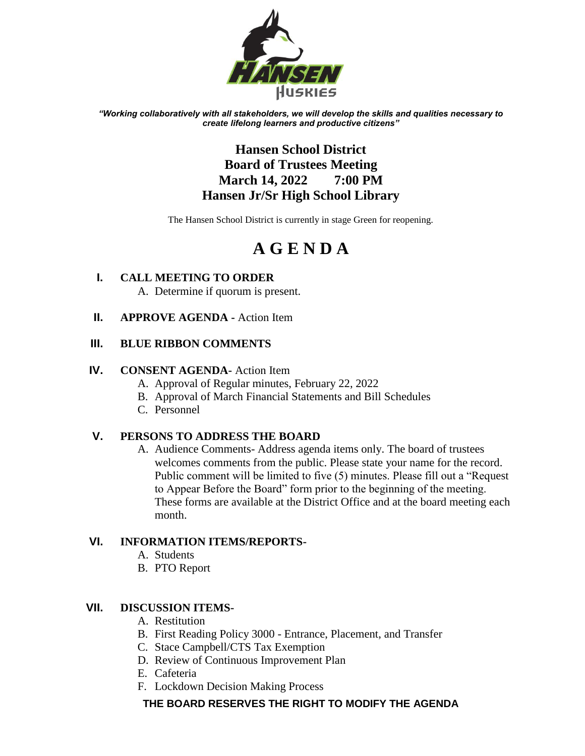

*"Working collaboratively with all stakeholders, we will develop the skills and qualities necessary to create lifelong learners and productive citizens"*

# **Hansen School District Board of Trustees Meeting March 14, 2022 7:00 PM Hansen Jr/Sr High School Library**

The Hansen School District is currently in stage Green for reopening.

# **A G E N D A**

- **I. CALL MEETING TO ORDER** A. Determine if quorum is present.
- **II. APPROVE AGENDA -** Action Item

# **III. BLUE RIBBON COMMENTS**

## **IV. CONSENT AGENDA-** Action Item

- A. Approval of Regular minutes, February 22, 2022
- B. Approval of March Financial Statements and Bill Schedules
- C. Personnel

# **V. PERSONS TO ADDRESS THE BOARD**

A. Audience Comments- Address agenda items only. The board of trustees welcomes comments from the public. Please state your name for the record. Public comment will be limited to five (5) minutes. Please fill out a "Request to Appear Before the Board" form prior to the beginning of the meeting. These forms are available at the District Office and at the board meeting each month.

# **VI. INFORMATION ITEMS/REPORTS-**

- A. Students
- B. PTO Report

# **VII. DISCUSSION ITEMS-**

- A. Restitution
- B. First Reading Policy 3000 Entrance, Placement, and Transfer
- C. Stace Campbell/CTS Tax Exemption
- D. Review of Continuous Improvement Plan
- E. Cafeteria
- F. Lockdown Decision Making Process

# **THE BOARD RESERVES THE RIGHT TO MODIFY THE AGENDA**